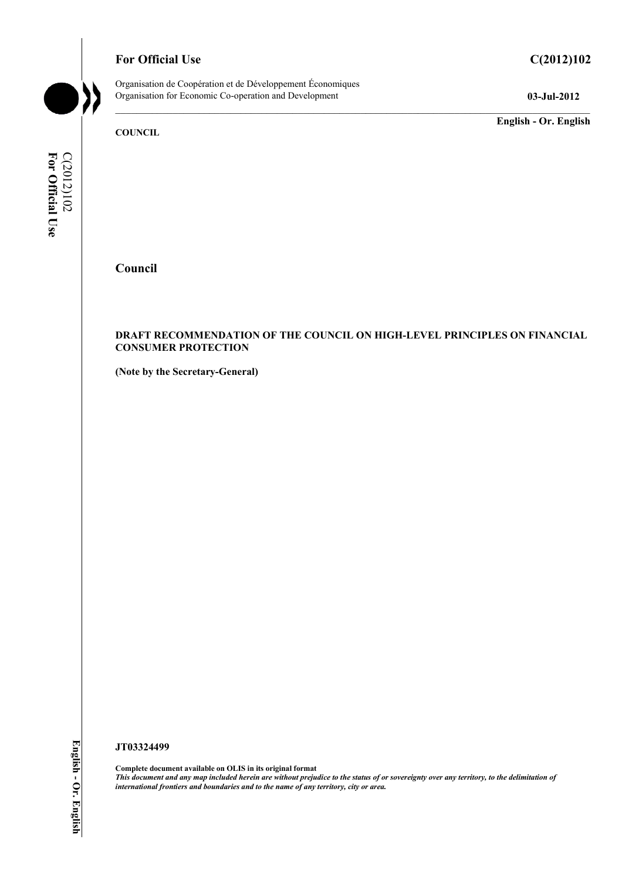# **For Official Use C(2012)102**

Organisation de Coopération et de Développement Économiques Organisation for Economic Co-operation and Development **03-Jul-2012** 

**English - Or. English** 

**C(2012)102**<br>For Official Use **For Official Use**  C(2012)102

**Council** 

**COUNCIL** 

#### **DRAFT RECOMMENDATION OF THE COUNCIL ON HIGH-LEVEL PRINCIPLES ON FINANCIAL CONSUMER PROTECTION**

**(Note by the Secretary-General)** 

**JT03324499** 

**Complete document available on OLIS in its original format** *This document and any map included herein are without prejudice to the status of or sovereignty over any territory, to the delimitation of international frontiers and boundaries and to the name of any territory, city or area.*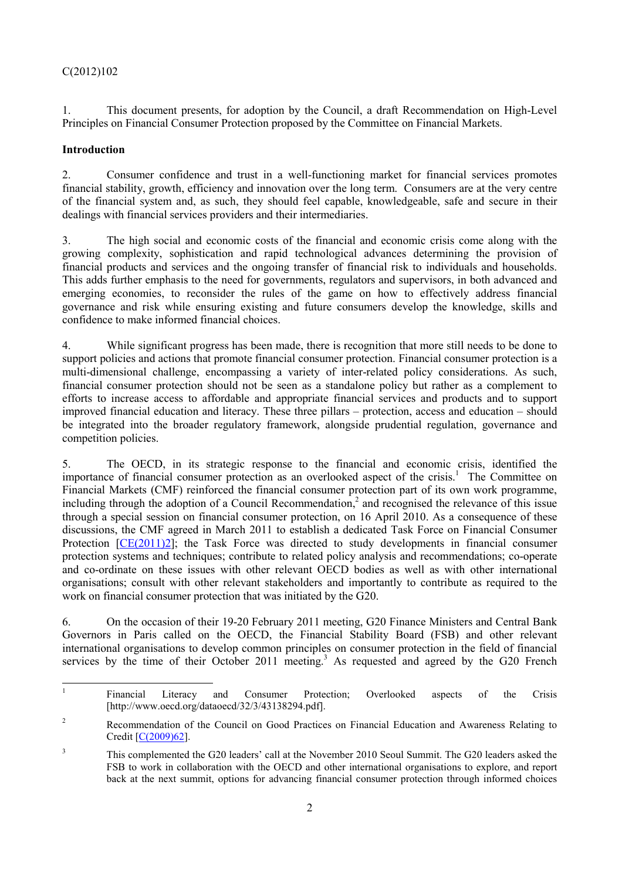1. This document presents, for adoption by the Council, a draft Recommendation on High-Level Principles on Financial Consumer Protection proposed by the Committee on Financial Markets.

## **Introduction**

2. Consumer confidence and trust in a well-functioning market for financial services promotes financial stability, growth, efficiency and innovation over the long term. Consumers are at the very centre of the financial system and, as such, they should feel capable, knowledgeable, safe and secure in their dealings with financial services providers and their intermediaries.

3. The high social and economic costs of the financial and economic crisis come along with the growing complexity, sophistication and rapid technological advances determining the provision of financial products and services and the ongoing transfer of financial risk to individuals and households. This adds further emphasis to the need for governments, regulators and supervisors, in both advanced and emerging economies, to reconsider the rules of the game on how to effectively address financial governance and risk while ensuring existing and future consumers develop the knowledge, skills and confidence to make informed financial choices.

4. While significant progress has been made, there is recognition that more still needs to be done to support policies and actions that promote financial consumer protection. Financial consumer protection is a multi-dimensional challenge, encompassing a variety of inter-related policy considerations. As such, financial consumer protection should not be seen as a standalone policy but rather as a complement to efforts to increase access to affordable and appropriate financial services and products and to support improved financial education and literacy. These three pillars – protection, access and education – should be integrated into the broader regulatory framework, alongside prudential regulation, governance and competition policies.

5. The OECD, in its strategic response to the financial and economic crisis, identified the importance of financial consumer protection as an overlooked aspect of the crisis.<sup>1</sup> The Committee on Financial Markets (CMF) reinforced the financial consumer protection part of its own work programme, including through the adoption of a Council Recommendation,<sup>2</sup> and recognised the relevance of this issue through a special session on financial consumer protection, on 16 April 2010. As a consequence of these discussions, the CMF agreed in March 2011 to establish a dedicated Task Force on Financial Consumer Protection [CE(2011)2]; the Task Force was directed to study developments in financial consumer protection systems and techniques; contribute to related policy analysis and recommendations; co-operate and co-ordinate on these issues with other relevant OECD bodies as well as with other international organisations; consult with other relevant stakeholders and importantly to contribute as required to the work on financial consumer protection that was initiated by the G20.

6. On the occasion of their 19-20 February 2011 meeting, G20 Finance Ministers and Central Bank Governors in Paris called on the OECD, the Financial Stability Board (FSB) and other relevant international organisations to develop common principles on consumer protection in the field of financial services by the time of their October 2011 meeting.<sup>3</sup> As requested and agreed by the G20 French

<sup>|&</sup>lt;br>|<br>| Financial Literacy and Consumer Protection; Overlooked aspects of the Crisis [http://www.oecd.org/dataoecd/32/3/43138294.pdf].

<sup>2</sup> Recommendation of the Council on Good Practices on Financial Education and Awareness Relating to Credit [C(2009)62].

<sup>3</sup> This complemented the G20 leaders' call at the November 2010 Seoul Summit. The G20 leaders asked the FSB to work in collaboration with the OECD and other international organisations to explore, and report back at the next summit, options for advancing financial consumer protection through informed choices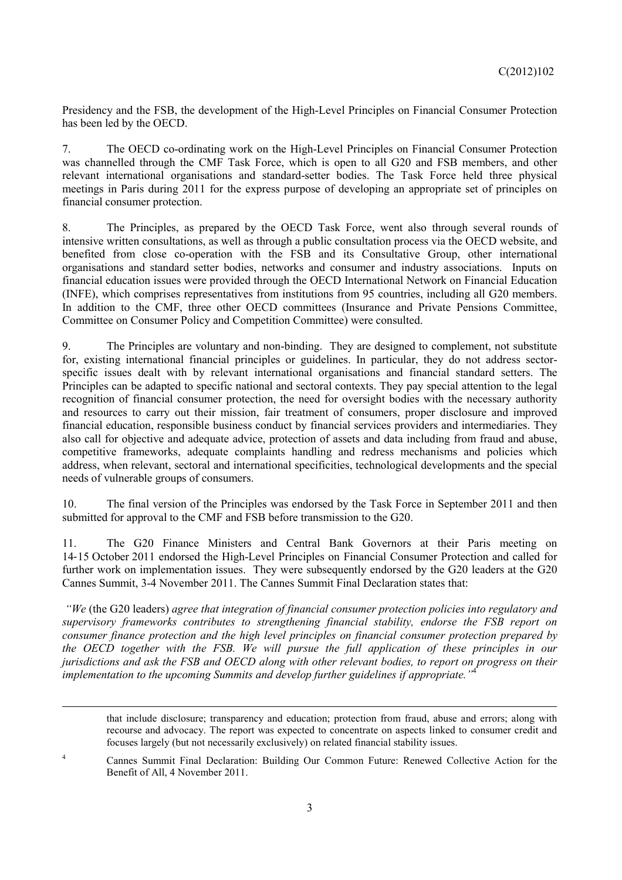Presidency and the FSB, the development of the High-Level Principles on Financial Consumer Protection has been led by the OECD.

7. The OECD co-ordinating work on the High-Level Principles on Financial Consumer Protection was channelled through the CMF Task Force, which is open to all G20 and FSB members, and other relevant international organisations and standard-setter bodies. The Task Force held three physical meetings in Paris during 2011 for the express purpose of developing an appropriate set of principles on financial consumer protection.

8. The Principles, as prepared by the OECD Task Force, went also through several rounds of intensive written consultations, as well as through a public consultation process via the OECD website, and benefited from close co-operation with the FSB and its Consultative Group, other international organisations and standard setter bodies, networks and consumer and industry associations. Inputs on financial education issues were provided through the OECD International Network on Financial Education (INFE), which comprises representatives from institutions from 95 countries, including all G20 members. In addition to the CMF, three other OECD committees (Insurance and Private Pensions Committee, Committee on Consumer Policy and Competition Committee) were consulted.

9. The Principles are voluntary and non-binding. They are designed to complement, not substitute for, existing international financial principles or guidelines. In particular, they do not address sectorspecific issues dealt with by relevant international organisations and financial standard setters. The Principles can be adapted to specific national and sectoral contexts. They pay special attention to the legal recognition of financial consumer protection, the need for oversight bodies with the necessary authority and resources to carry out their mission, fair treatment of consumers, proper disclosure and improved financial education, responsible business conduct by financial services providers and intermediaries. They also call for objective and adequate advice, protection of assets and data including from fraud and abuse, competitive frameworks, adequate complaints handling and redress mechanisms and policies which address, when relevant, sectoral and international specificities, technological developments and the special needs of vulnerable groups of consumers.

10. The final version of the Principles was endorsed by the Task Force in September 2011 and then submitted for approval to the CMF and FSB before transmission to the G20.

11. The G20 Finance Ministers and Central Bank Governors at their Paris meeting on 14‐15 October 2011 endorsed the High-Level Principles on Financial Consumer Protection and called for further work on implementation issues. They were subsequently endorsed by the G20 leaders at the G20 Cannes Summit, 3-4 November 2011. The Cannes Summit Final Declaration states that:

 *"We* (the G20 leaders) *agree that integration of financial consumer protection policies into regulatory and supervisory frameworks contributes to strengthening financial stability, endorse the FSB report on consumer finance protection and the high level principles on financial consumer protection prepared by the OECD together with the FSB. We will pursue the full application of these principles in our jurisdictions and ask the FSB and OECD along with other relevant bodies, to report on progress on their implementation to the upcoming Summits and develop further guidelines if appropriate."*<sup>4</sup>

1

that include disclosure; transparency and education; protection from fraud, abuse and errors; along with recourse and advocacy. The report was expected to concentrate on aspects linked to consumer credit and focuses largely (but not necessarily exclusively) on related financial stability issues.

4 Cannes Summit Final Declaration: Building Our Common Future: Renewed Collective Action for the Benefit of All, 4 November 2011.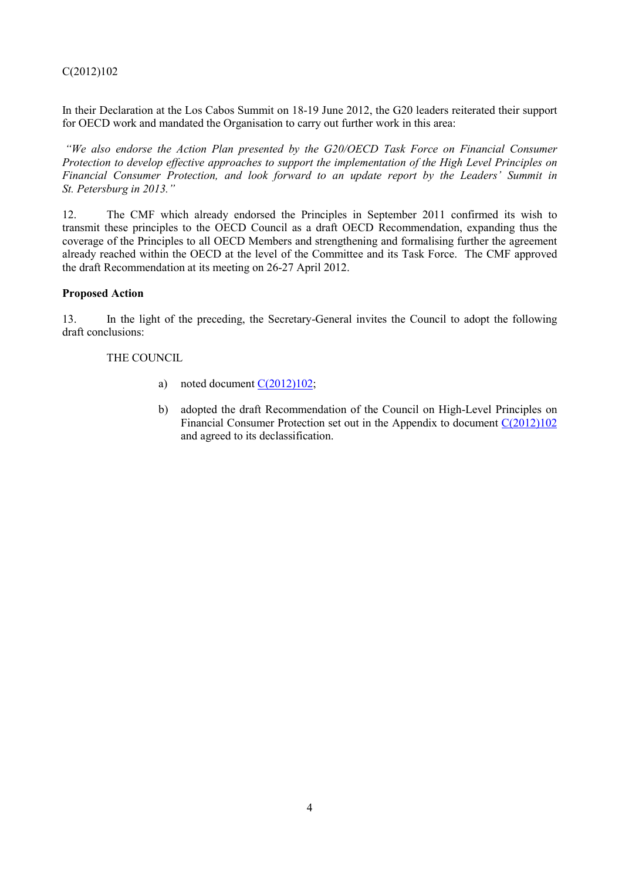In their Declaration at the Los Cabos Summit on 18-19 June 2012, the G20 leaders reiterated their support for OECD work and mandated the Organisation to carry out further work in this area:

 *"We also endorse the Action Plan presented by the G20/OECD Task Force on Financial Consumer Protection to develop effective approaches to support the implementation of the High Level Principles on Financial Consumer Protection, and look forward to an update report by the Leaders' Summit in St. Petersburg in 2013."* 

12. The CMF which already endorsed the Principles in September 2011 confirmed its wish to transmit these principles to the OECD Council as a draft OECD Recommendation, expanding thus the coverage of the Principles to all OECD Members and strengthening and formalising further the agreement already reached within the OECD at the level of the Committee and its Task Force. The CMF approved the draft Recommendation at its meeting on 26-27 April 2012.

#### **Proposed Action**

13. In the light of the preceding, the Secretary-General invites the Council to adopt the following draft conclusions:

#### THE COUNCIL

- a) noted document  $C(2012)102$ ;
- b) adopted the draft Recommendation of the Council on High-Level Principles on Financial Consumer Protection set out in the Appendix to document C(2012)102 and agreed to its declassification.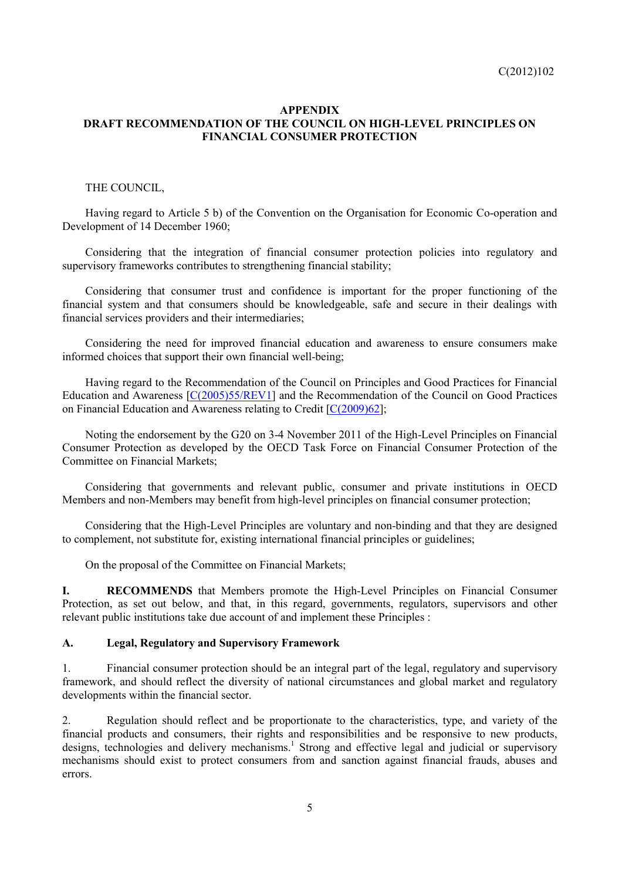#### **APPENDIX DRAFT RECOMMENDATION OF THE COUNCIL ON HIGH-LEVEL PRINCIPLES ON FINANCIAL CONSUMER PROTECTION**

#### THE COUNCIL,

Having regard to Article 5 b) of the Convention on the Organisation for Economic Co-operation and Development of 14 December 1960;

Considering that the integration of financial consumer protection policies into regulatory and supervisory frameworks contributes to strengthening financial stability;

Considering that consumer trust and confidence is important for the proper functioning of the financial system and that consumers should be knowledgeable, safe and secure in their dealings with financial services providers and their intermediaries;

Considering the need for improved financial education and awareness to ensure consumers make informed choices that support their own financial well-being;

Having regard to the Recommendation of the Council on Principles and Good Practices for Financial Education and Awareness [C(2005)55/REV1] and the Recommendation of the Council on Good Practices on Financial Education and Awareness relating to Credit  $[C(2009)62]$ ;

Noting the endorsement by the G20 on 3-4 November 2011 of the High-Level Principles on Financial Consumer Protection as developed by the OECD Task Force on Financial Consumer Protection of the Committee on Financial Markets;

Considering that governments and relevant public, consumer and private institutions in OECD Members and non-Members may benefit from high-level principles on financial consumer protection;

Considering that the High-Level Principles are voluntary and non-binding and that they are designed to complement, not substitute for, existing international financial principles or guidelines;

On the proposal of the Committee on Financial Markets;

**I. RECOMMENDS** that Members promote the High-Level Principles on Financial Consumer Protection, as set out below, and that, in this regard, governments, regulators, supervisors and other relevant public institutions take due account of and implement these Principles :

#### **A. Legal, Regulatory and Supervisory Framework**

1. Financial consumer protection should be an integral part of the legal, regulatory and supervisory framework, and should reflect the diversity of national circumstances and global market and regulatory developments within the financial sector.

2. Regulation should reflect and be proportionate to the characteristics, type, and variety of the financial products and consumers, their rights and responsibilities and be responsive to new products, designs, technologies and delivery mechanisms.<sup>1</sup> Strong and effective legal and judicial or supervisory mechanisms should exist to protect consumers from and sanction against financial frauds, abuses and errors.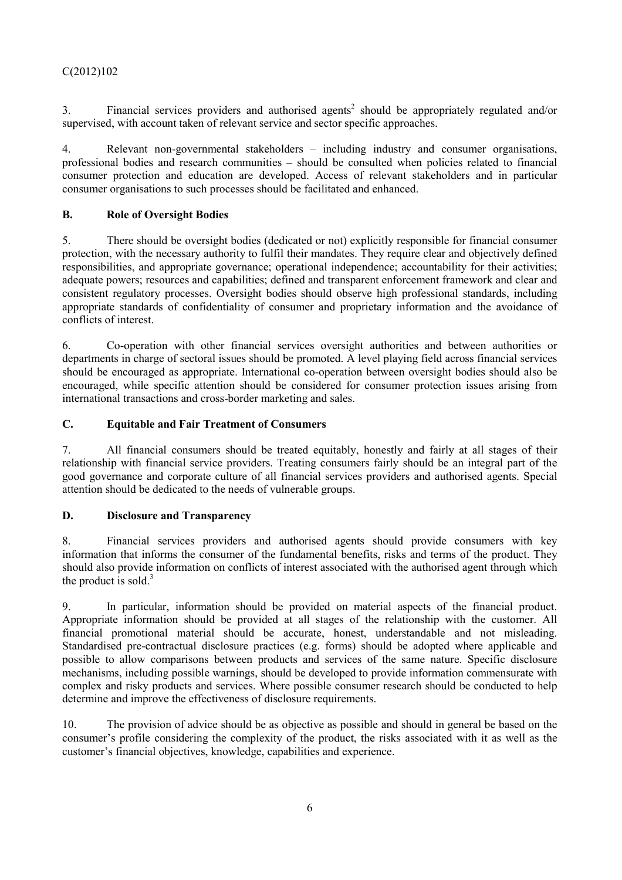3. Financial services providers and authorised agents<sup>2</sup> should be appropriately regulated and/or supervised, with account taken of relevant service and sector specific approaches.

4. Relevant non-governmental stakeholders – including industry and consumer organisations, professional bodies and research communities – should be consulted when policies related to financial consumer protection and education are developed. Access of relevant stakeholders and in particular consumer organisations to such processes should be facilitated and enhanced.

## **B. Role of Oversight Bodies**

5. There should be oversight bodies (dedicated or not) explicitly responsible for financial consumer protection, with the necessary authority to fulfil their mandates. They require clear and objectively defined responsibilities, and appropriate governance; operational independence; accountability for their activities; adequate powers; resources and capabilities; defined and transparent enforcement framework and clear and consistent regulatory processes. Oversight bodies should observe high professional standards, including appropriate standards of confidentiality of consumer and proprietary information and the avoidance of conflicts of interest.

6. Co-operation with other financial services oversight authorities and between authorities or departments in charge of sectoral issues should be promoted. A level playing field across financial services should be encouraged as appropriate. International co-operation between oversight bodies should also be encouraged, while specific attention should be considered for consumer protection issues arising from international transactions and cross-border marketing and sales.

## **C. Equitable and Fair Treatment of Consumers**

7. All financial consumers should be treated equitably, honestly and fairly at all stages of their relationship with financial service providers. Treating consumers fairly should be an integral part of the good governance and corporate culture of all financial services providers and authorised agents. Special attention should be dedicated to the needs of vulnerable groups.

#### **D. Disclosure and Transparency**

8. Financial services providers and authorised agents should provide consumers with key information that informs the consumer of the fundamental benefits, risks and terms of the product. They should also provide information on conflicts of interest associated with the authorised agent through which the product is sold.<sup>3</sup>

9. In particular, information should be provided on material aspects of the financial product. Appropriate information should be provided at all stages of the relationship with the customer. All financial promotional material should be accurate, honest, understandable and not misleading. Standardised pre-contractual disclosure practices (e.g. forms) should be adopted where applicable and possible to allow comparisons between products and services of the same nature. Specific disclosure mechanisms, including possible warnings, should be developed to provide information commensurate with complex and risky products and services. Where possible consumer research should be conducted to help determine and improve the effectiveness of disclosure requirements.

10. The provision of advice should be as objective as possible and should in general be based on the consumer's profile considering the complexity of the product, the risks associated with it as well as the customer's financial objectives, knowledge, capabilities and experience.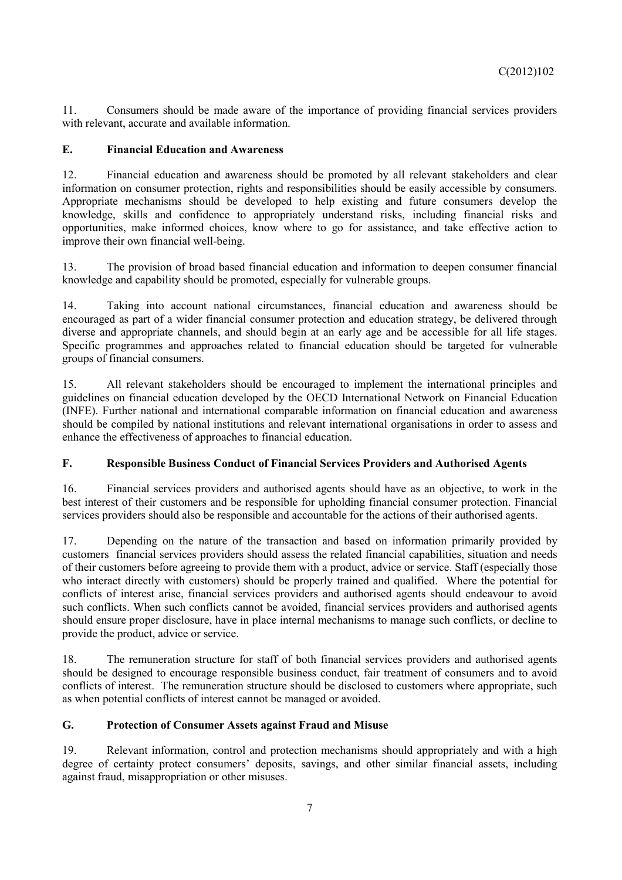11. Consumers should be made aware of the importance of providing financial services providers with relevant, accurate and available information.

## **E. Financial Education and Awareness**

12. Financial education and awareness should be promoted by all relevant stakeholders and clear information on consumer protection, rights and responsibilities should be easily accessible by consumers. Appropriate mechanisms should be developed to help existing and future consumers develop the knowledge, skills and confidence to appropriately understand risks, including financial risks and opportunities, make informed choices, know where to go for assistance, and take effective action to improve their own financial well-being.

13. The provision of broad based financial education and information to deepen consumer financial knowledge and capability should be promoted, especially for vulnerable groups.

14. Taking into account national circumstances, financial education and awareness should be encouraged as part of a wider financial consumer protection and education strategy, be delivered through diverse and appropriate channels, and should begin at an early age and be accessible for all life stages. Specific programmes and approaches related to financial education should be targeted for vulnerable groups of financial consumers.

15. All relevant stakeholders should be encouraged to implement the international principles and guidelines on financial education developed by the OECD International Network on Financial Education (INFE). Further national and international comparable information on financial education and awareness should be compiled by national institutions and relevant international organisations in order to assess and enhance the effectiveness of approaches to financial education.

## **F. Responsible Business Conduct of Financial Services Providers and Authorised Agents**

16. Financial services providers and authorised agents should have as an objective, to work in the best interest of their customers and be responsible for upholding financial consumer protection. Financial services providers should also be responsible and accountable for the actions of their authorised agents.

17. Depending on the nature of the transaction and based on information primarily provided by customers financial services providers should assess the related financial capabilities, situation and needs of their customers before agreeing to provide them with a product, advice or service. Staff (especially those who interact directly with customers) should be properly trained and qualified. Where the potential for conflicts of interest arise, financial services providers and authorised agents should endeavour to avoid such conflicts. When such conflicts cannot be avoided, financial services providers and authorised agents should ensure proper disclosure, have in place internal mechanisms to manage such conflicts, or decline to provide the product, advice or service.

18. The remuneration structure for staff of both financial services providers and authorised agents should be designed to encourage responsible business conduct, fair treatment of consumers and to avoid conflicts of interest. The remuneration structure should be disclosed to customers where appropriate, such as when potential conflicts of interest cannot be managed or avoided.

## **G. Protection of Consumer Assets against Fraud and Misuse**

19. Relevant information, control and protection mechanisms should appropriately and with a high degree of certainty protect consumers' deposits, savings, and other similar financial assets, including against fraud, misappropriation or other misuses.